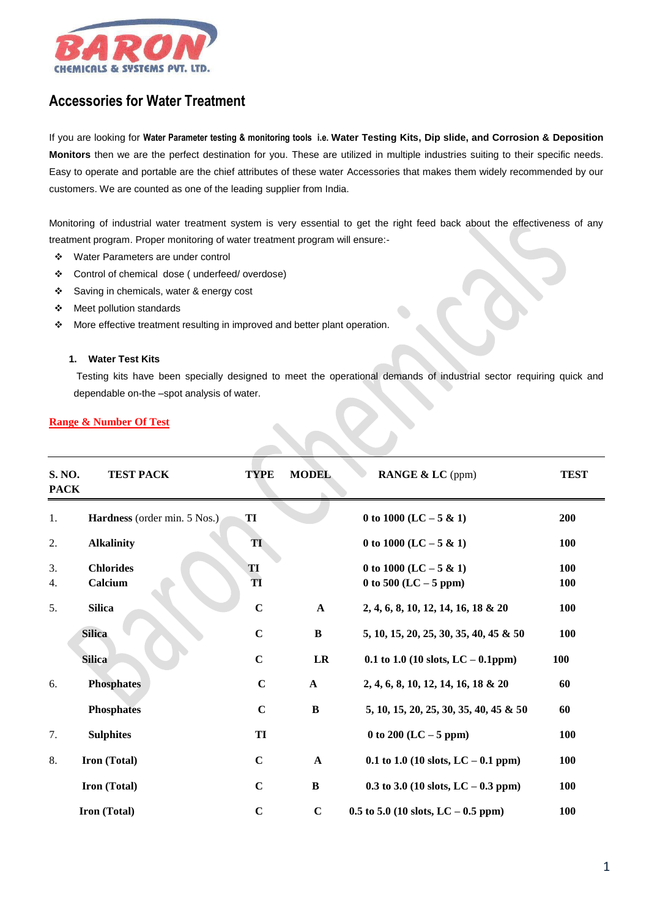

# **Accessories for Water Treatment**

If you are looking for **Water Parameter testing & monitoring tools i.e. Water Testing Kits, Dip slide, and Corrosion & Deposition Monitors** then we are the perfect destination for you. These are utilized in multiple industries suiting to their specific needs. Easy to operate and portable are the chief attributes of these water Accessories that makes them widely recommended by our customers. We are counted as one of the leading supplier from India.

Monitoring of industrial water treatment system is very essential to get the right feed back about the effectiveness of any treatment program. Proper monitoring of water treatment program will ensure:-

- Water Parameters are under control
- Control of chemical dose ( underfeed/ overdose)
- Saving in chemicals, water & energy cost
- Meet pollution standards
- \* More effective treatment resulting in improved and better plant operation.

#### **1. Water Test Kits**

Testing kits have been specially designed to meet the operational demands of industrial sector requiring quick and dependable on-the –spot analysis of water.

### **Range & Number Of Test**

| S. NO.<br><b>PACK</b> | <b>TEST PACK</b>             | <b>TYPE</b> | <b>MODEL</b> | <b>RANGE &amp; LC</b> (ppm)                         | <b>TEST</b>       |
|-----------------------|------------------------------|-------------|--------------|-----------------------------------------------------|-------------------|
| 1.                    | Hardness (order min. 5 Nos.) | TI          |              | 0 to 1000 (LC $-5 & 1$ )                            | 200               |
| 2.                    | <b>Alkalinity</b>            | TI          |              | 0 to 1000 (LC $-5 & 1$ )                            | 100               |
| 3.<br>4.              | <b>Chlorides</b><br>Calcium  | TI<br>TI    |              | 0 to 1000 (LC $-5 & 1$ )<br>0 to 500 (LC $-$ 5 ppm) | 100<br><b>100</b> |
| 5.                    | <b>Silica</b>                | $\mathbf C$ | $\mathbf{A}$ | 2, 4, 6, 8, 10, 12, 14, 16, 18 & 20                 | <b>100</b>        |
|                       | <b>Silica</b>                | $\mathbf C$ | $\, {\bf B}$ | 5, 10, 15, 20, 25, 30, 35, 40, 45 & 50              | 100               |
|                       | <b>Silica</b>                | $\mathbf C$ | LR           | 0.1 to 1.0 (10 slots, LC $-$ 0.1ppm)                | <b>100</b>        |
| 6.                    | <b>Phosphates</b>            | $\mathbf C$ | $\mathbf{A}$ | 2, 4, 6, 8, 10, 12, 14, 16, 18 & 20                 | 60                |
|                       | <b>Phosphates</b>            | $\mathbf C$ | $\bf{B}$     | 5, 10, 15, 20, 25, 30, 35, 40, 45 & 50              | 60                |
| 7.                    | <b>Sulphites</b>             | TI          |              | 0 to 200 (LC $-5$ ppm)                              | <b>100</b>        |
| 8.                    | Iron (Total)                 | $\mathbf C$ | $\mathbf A$  | 0.1 to 1.0 (10 slots, LC $-$ 0.1 ppm)               | <b>100</b>        |
|                       | Iron (Total)                 | $\mathbf C$ | $\bf{B}$     | 0.3 to 3.0 (10 slots, LC $-$ 0.3 ppm)               | 100               |
|                       | Iron (Total)                 | $\mathbf C$ | $\mathbf C$  | $0.5$ to 5.0 (10 slots, LC $-0.5$ ppm)              | <b>100</b>        |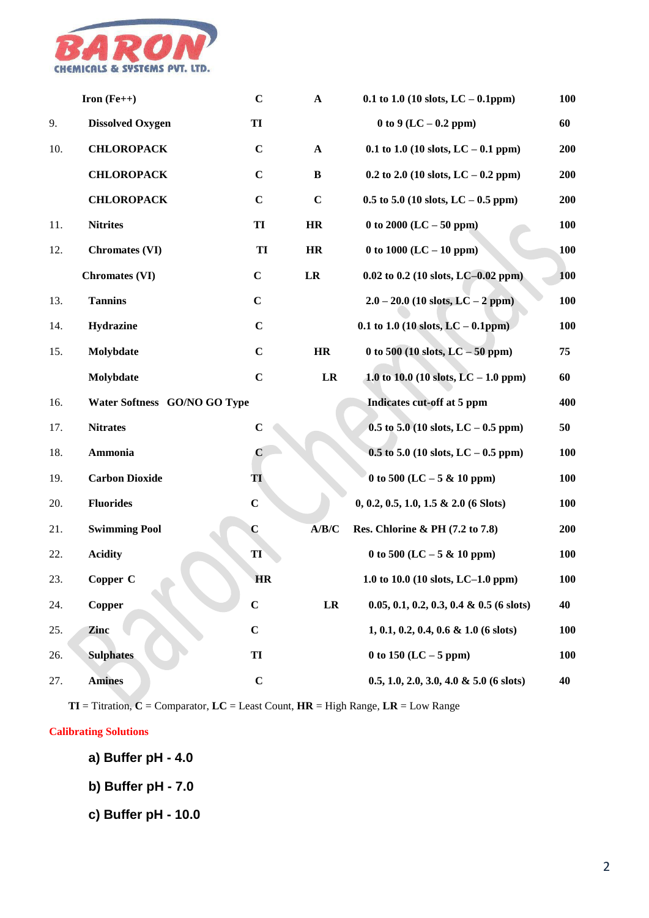

|     | Iron $(Fe++)$                | $\mathbf C$ | $\mathbf A$ | $0.1$ to $1.0$ (10 slots, LC $-$ 0.1ppm)    | 100        |
|-----|------------------------------|-------------|-------------|---------------------------------------------|------------|
| 9.  | <b>Dissolved Oxygen</b>      | TI          |             | 0 to 9 (LC $-$ 0.2 ppm)                     | 60         |
| 10. | <b>CHLOROPACK</b>            | $\mathbf C$ | $\mathbf A$ | 0.1 to 1.0 (10 slots, LC $-$ 0.1 ppm)       | 200        |
|     | <b>CHLOROPACK</b>            | $\mathbf C$ | $\bf{B}$    | $0.2$ to 2.0 (10 slots, LC – 0.2 ppm)       | 200        |
|     | <b>CHLOROPACK</b>            | $\mathbf C$ | $\mathbf C$ | $0.5$ to 5.0 (10 slots, LC $-0.5$ ppm)      | 200        |
| 11. | <b>Nitrites</b>              | TI          | HR          | 0 to 2000 (LC $-50$ ppm)                    | <b>100</b> |
| 12. | <b>Chromates (VI)</b>        | TI          | HR          | 0 to 1000 (LC $-$ 10 ppm)                   | 100        |
|     | <b>Chromates (VI)</b>        | $\mathbf C$ | LR          | $0.02$ to 0.2 (10 slots, LC-0.02 ppm)       | 100        |
| 13. | <b>Tannins</b>               | $\mathbf C$ |             | $2.0 - 20.0$ (10 slots, LC - 2 ppm)         | 100        |
| 14. | Hydrazine                    | $\mathbf C$ |             | 0.1 to 1.0 (10 slots, $LC - 0.1$ ppm)       | <b>100</b> |
| 15. | Molybdate                    | $\mathbf C$ | HR          | 0 to 500 (10 slots, $LC - 50$ ppm)          | 75         |
|     | Molybdate                    | $\mathbf C$ | LR          | 1.0 to 10.0 (10 slots, LC $-$ 1.0 ppm)      | 60         |
| 16. | Water Softness GO/NO GO Type |             |             | Indicates cut-off at 5 ppm                  | 400        |
| 17. | <b>Nitrates</b>              | $\mathbf C$ |             | $0.5$ to 5.0 (10 slots, LC – 0.5 ppm)       | 50         |
| 18. | Ammonia                      | $\mathbf C$ |             | $0.5$ to 5.0 (10 slots, LC – 0.5 ppm)       | 100        |
| 19. | <b>Carbon Dioxide</b>        | TI          |             | 0 to 500 (LC $-5 & 10$ ppm)                 | <b>100</b> |
| 20. | <b>Fluorides</b>             | $\mathbf C$ |             | $0, 0.2, 0.5, 1.0, 1.5 \& 2.0$ (6 Slots)    | <b>100</b> |
| 21. | <b>Swimming Pool</b>         | $\bf C$     | A/B/C       | Res. Chlorine & PH (7.2 to 7.8)             | 200        |
| 22. | <b>Acidity</b>               | TI          |             | 0 to 500 (LC $-5 & 10$ ppm)                 | <b>100</b> |
| 23. | Copper C                     | <b>HR</b>   |             | 1.0 to 10.0 (10 slots, LC-1.0 ppm)          | <b>100</b> |
| 24. | Copper                       | $\mathbf C$ | LR          | $0.05, 0.1, 0.2, 0.3, 0.4 \& 0.5$ (6 slots) | 40         |
| 25. | Zinc                         | $\mathbf C$ |             | $1, 0.1, 0.2, 0.4, 0.6 \& 1.0$ (6 slots)    | <b>100</b> |
| 26. | <b>Sulphates</b>             | TI          |             | 0 to 150 (LC $-$ 5 ppm)                     | <b>100</b> |
| 27. | <b>Amines</b>                | $\mathbf C$ |             | $0.5, 1.0, 2.0, 3.0, 4.0 \& 5.0$ (6 slots)  | 40         |

 **TI** = Titration, **C** = Comparator, **LC** = Least Count, **HR** = High Range, **LR** = Low Range

### **Calibrating Solutions**

- **a) Buffer pH - 4.0**
- **b) Buffer pH - 7.0**
- **c) Buffer pH - 10.0**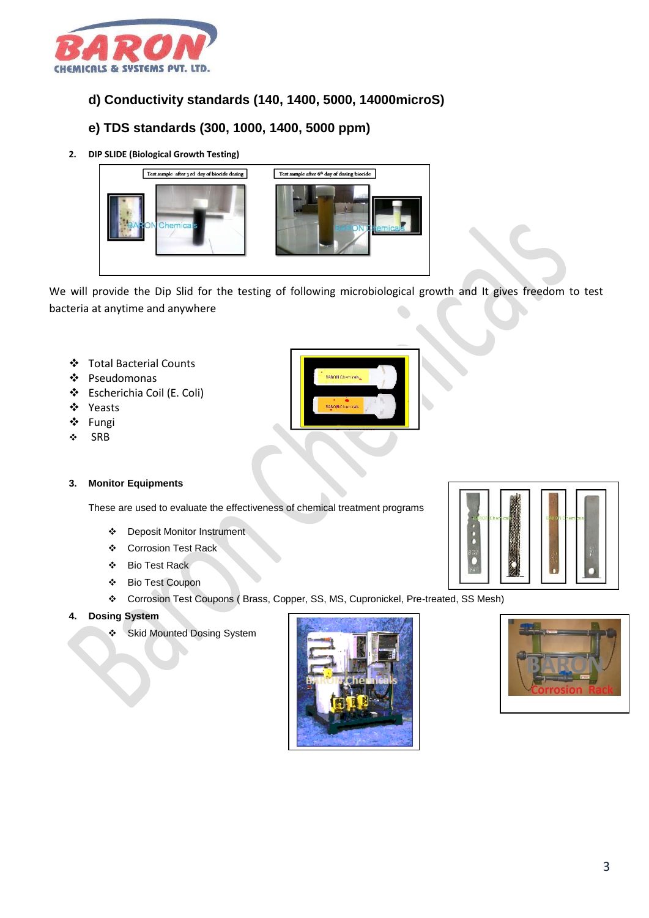

## **d) Conductivity standards (140, 1400, 5000, 14000microS)**

## **e) TDS standards (300, 1000, 1400, 5000 ppm)**

**2. DIP SLIDE (Biological Growth Testing)**



We will provide the Dip Slid for the testing of following microbiological growth and It gives freedom to test bacteria at anytime and anywhere

- Total Bacterial Counts
- Pseudomonas
- Escherichia Coil (E. Coli)
- Yeasts
- ❖ Fungi
- $\div$  SRB

### **3. Monitor Equipments**

These are used to evaluate the effectiveness of chemical treatment programs

- Deposit Monitor Instrument
- Corrosion Test Rack
- Bio Test Rack
- Bio Test Coupon
- Corrosion Test Coupons ( Brass, Copper, SS, MS, Cupronickel, Pre-treated, SS Mesh)
- **4. Dosing System**
	- Skid Mounted Dosing System